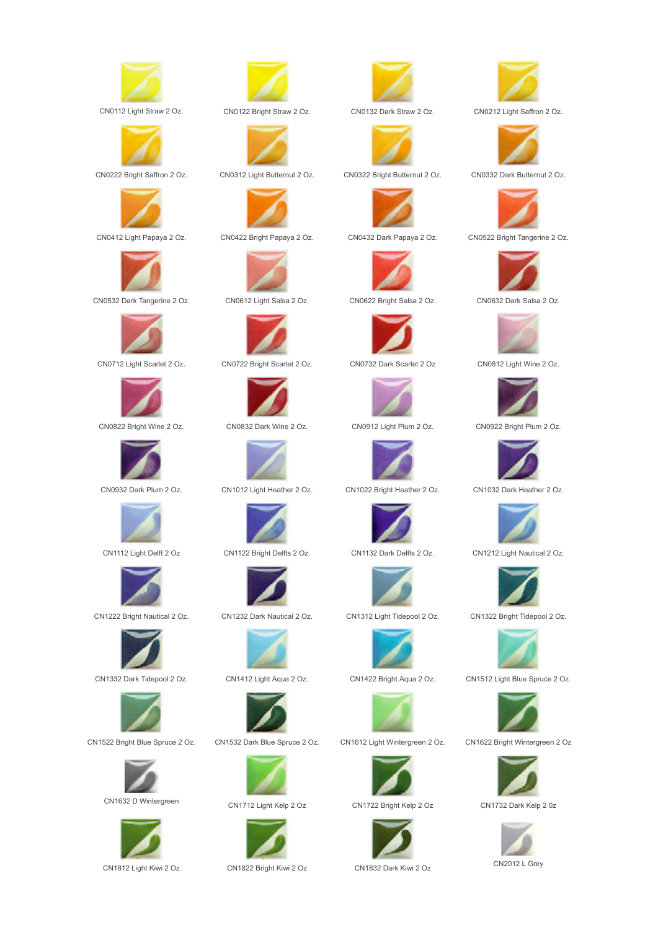





CN0532 Dark Tangerine 2 Oz. CN0612 Light Salsa 2 Oz. CN0622 Bright Salsa 2 Oz. CN0632 Dark Salsa 2 Oz.













CN1632 D Wintergreen CN1712 Light Kelp 2 Oz CN1722 Bright Kelp 2 Oz CN1732 Dark Kelp 2 0z









CN0412 Light Papaya 2 Oz. CN0422 Bright Papaya 2 Oz. CN0432 Dark Papaya 2 Oz. CN0522 Bright Tangerine 2 Oz.





CN0712 Light Scarlet 2 Oz. CN0722 Bright Scarlet 2 Oz. CN0732 Dark Scarlet 2 Oz CN0812 Light Wine 2 Oz.







CN1112 Light Delft 2 Oz CN1122 Bright Delfts 2 Oz. CN1132 Dark Delfts 2 Oz. CN1212 Light Nautical 2 Oz.



CN1222 Bright Nautical 2 Oz. CN1232 Dark Nautical 2 Oz. CN1312 Light Tidepool 2 Oz. CN1322 Bright Tidepool 2 Oz.





CN1522 Bright Blue Spruce 2 Oz. CN1532 Dark Blue Spruce 2 Oz. CN1612 Light Wintergreen 2 Oz. CN1622 Bright Wintergreen 2 Oz































CN1812 Light Kiwi 2 Oz CN1822 Bright Kiwi 2 Oz CN1832 Dark Kiwi 2 Oz CN2012 L Grey



CN0112 Light Straw 2 Oz. CN0122 Bright Straw 2 Oz. CN0132 Dark Straw 2 Oz. CN0212 Light Saffron 2 Oz.



CN0222 Bright Saffron 2 Oz. CN0312 Light Butternut 2 Oz. CN0322 Bright Butternut 2 Oz. CN0332 Dark Butternut 2 Oz.









CN0822 Bright Wine 2 Oz. CN0832 Dark Wine 2 Oz. CN0912 Light Plum 2 Oz. CN0922 Bright Plum 2 Oz.



CN0932 Dark Plum 2 Oz. CN1012 Light Heather 2 Oz. CN1022 Bright Heather 2 Oz. CN1032 Dark Heather 2 Oz.







CN1332 Dark Tidepool 2 Oz. CN1412 Light Aqua 2 Oz. CN1422 Bright Aqua 2 Oz. CN1512 Light Blue Spruce 2 Oz.